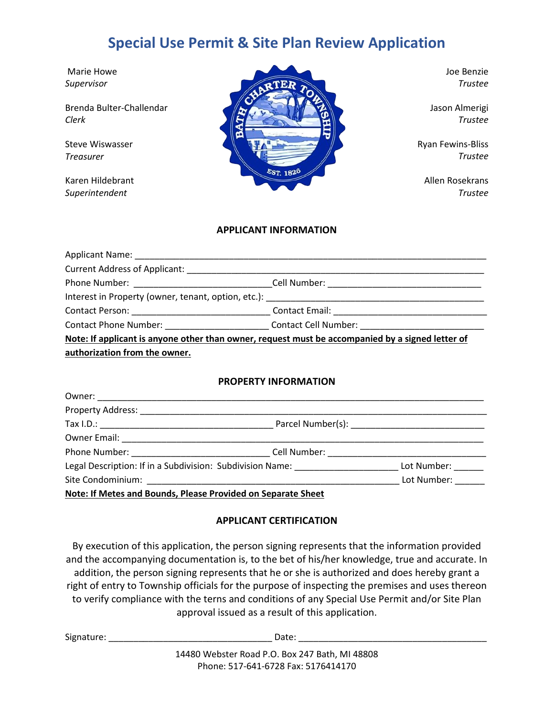# **Special Use Permit & Site Plan Review Application**

Marie Howe *Supervisor*

Brenda Bulter-Challendar *Clerk*

Steve Wiswasser *Treasurer*

Karen Hildebrant *Superintendent*



Joe Benzie *Trustee*

Jason Almerigi *Trustee*

Ryan Fewins-Bliss *Trustee*

Allen Rosekrans *Trustee*

#### **APPLICANT INFORMATION**

|                                                                                                  | Phone Number: _________________________________Cell Number: _____________________                    |
|--------------------------------------------------------------------------------------------------|------------------------------------------------------------------------------------------------------|
|                                                                                                  |                                                                                                      |
|                                                                                                  | Contact Person: ___________________________________Contact Email: __________________________________ |
|                                                                                                  | Contact Phone Number: ____________________________Contact Cell Number: _____________________________ |
| Note: If applicant is anyone other than owner, request must be accompanied by a signed letter of |                                                                                                      |
| authorization from the owner.                                                                    |                                                                                                      |

#### **PROPERTY INFORMATION**

| Legal Description: If in a Subdivision: Subdivision Name:    | Lot Number: |
|--------------------------------------------------------------|-------------|
|                                                              | Lot Number: |
| Note: If Metes and Bounds, Please Provided on Separate Sheet |             |

## **APPLICANT CERTIFICATION**

By execution of this application, the person signing represents that the information provided and the accompanying documentation is, to the bet of his/her knowledge, true and accurate. In addition, the person signing represents that he or she is authorized and does hereby grant a right of entry to Township officials for the purpose of inspecting the premises and uses thereon to verify compliance with the terns and conditions of any Special Use Permit and/or Site Plan approval issued as a result of this application.

| Signature: | Date:                                          |  |
|------------|------------------------------------------------|--|
|            | 14480 Webster Road P.O. Box 247 Bath, MI 48808 |  |

Phone: 517-641-6728 Fax: 5176414170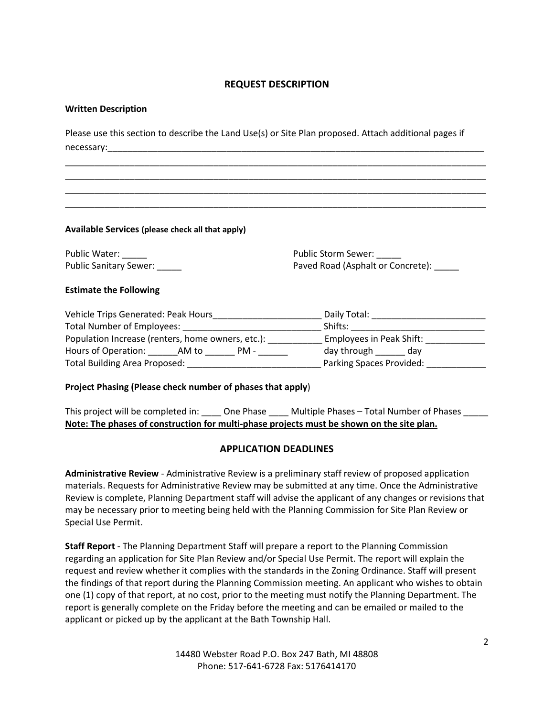# **REQUEST DESCRIPTION**

#### **Written Description**

Please use this section to describe the Land Use(s) or Site Plan proposed. Attach additional pages if necessary:

\_\_\_\_\_\_\_\_\_\_\_\_\_\_\_\_\_\_\_\_\_\_\_\_\_\_\_\_\_\_\_\_\_\_\_\_\_\_\_\_\_\_\_\_\_\_\_\_\_\_\_\_\_\_\_\_\_\_\_\_\_\_\_\_\_\_\_\_\_\_\_\_\_\_\_\_\_\_\_\_\_\_\_\_\_ \_\_\_\_\_\_\_\_\_\_\_\_\_\_\_\_\_\_\_\_\_\_\_\_\_\_\_\_\_\_\_\_\_\_\_\_\_\_\_\_\_\_\_\_\_\_\_\_\_\_\_\_\_\_\_\_\_\_\_\_\_\_\_\_\_\_\_\_\_\_\_\_\_\_\_\_\_\_\_\_\_\_\_\_\_ \_\_\_\_\_\_\_\_\_\_\_\_\_\_\_\_\_\_\_\_\_\_\_\_\_\_\_\_\_\_\_\_\_\_\_\_\_\_\_\_\_\_\_\_\_\_\_\_\_\_\_\_\_\_\_\_\_\_\_\_\_\_\_\_\_\_\_\_\_\_\_\_\_\_\_\_\_\_\_\_\_\_\_\_\_ \_\_\_\_\_\_\_\_\_\_\_\_\_\_\_\_\_\_\_\_\_\_\_\_\_\_\_\_\_\_\_\_\_\_\_\_\_\_\_\_\_\_\_\_\_\_\_\_\_\_\_\_\_\_\_\_\_\_\_\_\_\_\_\_\_\_\_\_\_\_\_\_\_\_\_\_\_\_\_\_\_\_\_\_\_

**Available Services (please check all that apply)**

Public Water: Public Sanitary Sewer: \_\_\_\_\_\_ Public Storm Sewer: Paved Road (Asphalt or Concrete): \_\_\_\_\_

#### **Estimate the Following**

| Vehicle Trips Generated: Peak Hours               | Daily Total:             |
|---------------------------------------------------|--------------------------|
| <b>Total Number of Employees:</b>                 | Shifts:                  |
| Population Increase (renters, home owners, etc.): | Employees in Peak Shift: |
| Hours of Operation:<br>PM -<br>AM to              | day through<br>dav       |
| Total Building Area Proposed:                     | Parking Spaces Provided: |

#### **Project Phasing (Please check number of phases that apply**)

This project will be completed in: \_\_\_\_\_ One Phase \_\_\_\_\_ Multiple Phases – Total Number of Phases \_\_\_\_\_ **Note: The phases of construction for multi-phase projects must be shown on the site plan.**

## **APPLICATION DEADLINES**

**Administrative Review** - Administrative Review is a preliminary staff review of proposed application materials. Requests for Administrative Review may be submitted at any time. Once the Administrative Review is complete, Planning Department staff will advise the applicant of any changes or revisions that may be necessary prior to meeting being held with the Planning Commission for Site Plan Review or Special Use Permit.

**Staff Report** - The Planning Department Staff will prepare a report to the Planning Commission regarding an application for Site Plan Review and/or Special Use Permit. The report will explain the request and review whether it complies with the standards in the Zoning Ordinance. Staff will present the findings of that report during the Planning Commission meeting. An applicant who wishes to obtain one (1) copy of that report, at no cost, prior to the meeting must notify the Planning Department. The report is generally complete on the Friday before the meeting and can be emailed or mailed to the applicant or picked up by the applicant at the Bath Township Hall.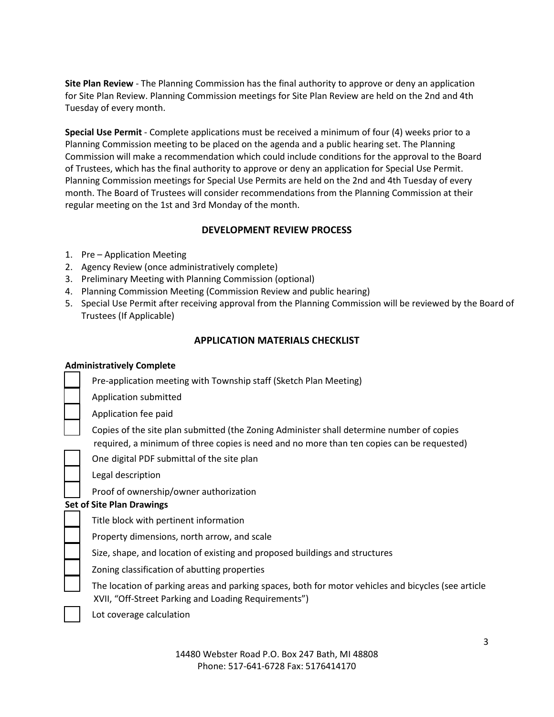**Site Plan Review** - The Planning Commission has the final authority to approve or deny an application for Site Plan Review. Planning Commission meetings for Site Plan Review are held on the 2nd and 4th Tuesday of every month.

**Special Use Permit** - Complete applications must be received a minimum of four (4) weeks prior to a Planning Commission meeting to be placed on the agenda and a public hearing set. The Planning Commission will make a recommendation which could include conditions for the approval to the Board of Trustees, which has the final authority to approve or deny an application for Special Use Permit. Planning Commission meetings for Special Use Permits are held on the 2nd and 4th Tuesday of every month. The Board of Trustees will consider recommendations from the Planning Commission at their regular meeting on the 1st and 3rd Monday of the month.

# **DEVELOPMENT REVIEW PROCESS**

- 1. Pre Application Meeting
- 2. Agency Review (once administratively complete)
- 3. Preliminary Meeting with Planning Commission (optional)
- 4. Planning Commission Meeting (Commission Review and public hearing)
- 5. Special Use Permit after receiving approval from the Planning Commission will be reviewed by the Board of Trustees (If Applicable)

# **APPLICATION MATERIALS CHECKLIST**

## **Administratively Complete**

| Pre-application meeting with Township staff (Sketch Plan Meeting)                                                                                                                      |
|----------------------------------------------------------------------------------------------------------------------------------------------------------------------------------------|
| Application submitted                                                                                                                                                                  |
| Application fee paid                                                                                                                                                                   |
| Copies of the site plan submitted (the Zoning Administer shall determine number of copies<br>required, a minimum of three copies is need and no more than ten copies can be requested) |
| One digital PDF submittal of the site plan                                                                                                                                             |
| Legal description                                                                                                                                                                      |
| Proof of ownership/owner authorization                                                                                                                                                 |
| <b>Set of Site Plan Drawings</b>                                                                                                                                                       |
| Title block with pertinent information                                                                                                                                                 |
| Property dimensions, north arrow, and scale                                                                                                                                            |
| Size, shape, and location of existing and proposed buildings and structures                                                                                                            |
| Zoning classification of abutting properties                                                                                                                                           |
| The location of parking areas and parking spaces, both for motor vehicles and bicycles (see article<br>XVII, "Off-Street Parking and Loading Requirements")                            |

Lot coverage calculation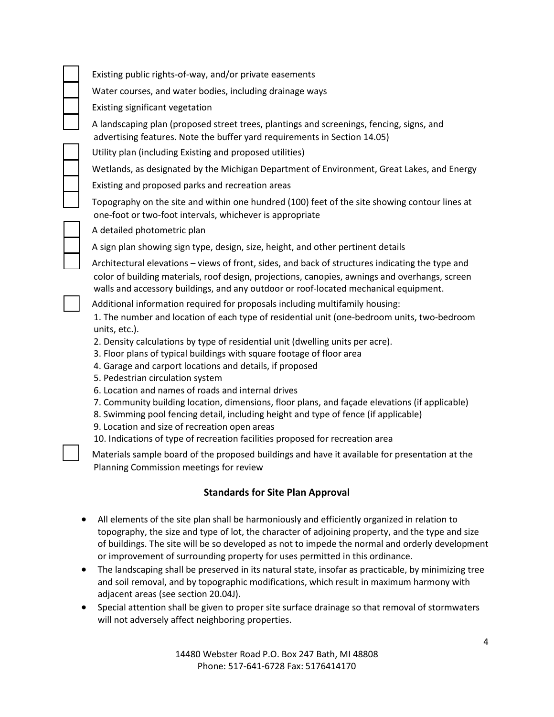Existing public rights-of-way, and/or private easements

Water courses, and water bodies, including drainage ways

Existing significant vegetation

A landscaping plan (proposed street trees, plantings and screenings, fencing, signs, and advertising features. Note the buffer yard requirements in Section 14.05)

Utility plan (including Existing and proposed utilities)

Wetlands, as designated by the Michigan Department of Environment, Great Lakes, and Energy

Existing and proposed parks and recreation areas

Topography on the site and within one hundred (100) feet of the site showing contour lines at one-foot or two-foot intervals, whichever is appropriate

A detailed photometric plan

A sign plan showing sign type, design, size, height, and other pertinent details

□ Architectural elevations – views of front, sides, and back of structures indicating the type and color of building materials, roof design, projections, canopies, awnings and overhangs, screen walls and accessory buildings, and any outdoor or roof-located mechanical equipment.

Additional information required for proposals including multifamily housing:

1. The number and location of each type of residential unit (one-bedroom units, two-bedroom units, etc.).

2. Density calculations by type of residential unit (dwelling units per acre).

3. Floor plans of typical buildings with square footage of floor area

4. Garage and carport locations and details, if proposed

5. Pedestrian circulation system

6. Location and names of roads and internal drives

7. Community building location, dimensions, floor plans, and façade elevations (if applicable)

8. Swimming pool fencing detail, including height and type of fence (if applicable)

9. Location and size of recreation open areas

10. Indications of type of recreation facilities proposed for recreation area

Materials sample board of the proposed buildings and have it available for presentation at the Planning Commission meetings for review

# **Standards for Site Plan Approval**

- All elements of the site plan shall be harmoniously and efficiently organized in relation to topography, the size and type of lot, the character of adjoining property, and the type and size of buildings. The site will be so developed as not to impede the normal and orderly development or improvement of surrounding property for uses permitted in this ordinance.
- The landscaping shall be preserved in its natural state, insofar as practicable, by minimizing tree and soil removal, and by topographic modifications, which result in maximum harmony with adjacent areas (see section 20.04J).
- Special attention shall be given to proper site surface drainage so that removal of stormwaters will not adversely affect neighboring properties.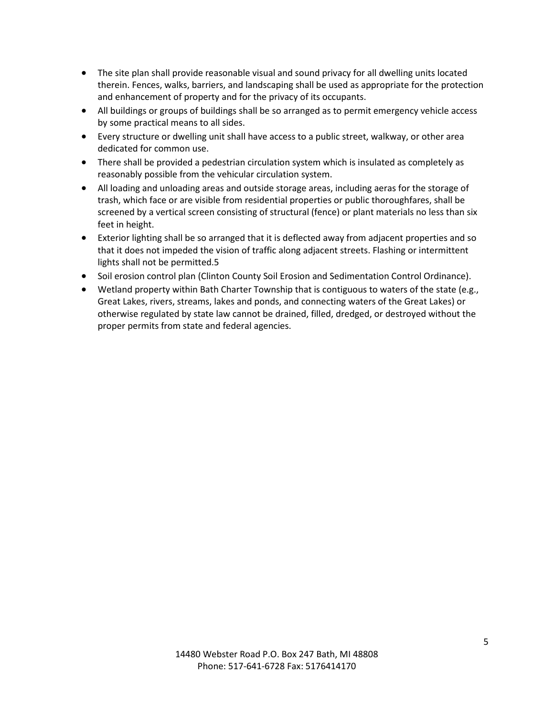- The site plan shall provide reasonable visual and sound privacy for all dwelling units located therein. Fences, walks, barriers, and landscaping shall be used as appropriate for the protection and enhancement of property and for the privacy of its occupants.
- All buildings or groups of buildings shall be so arranged as to permit emergency vehicle access by some practical means to all sides.
- Every structure or dwelling unit shall have access to a public street, walkway, or other area dedicated for common use.
- There shall be provided a pedestrian circulation system which is insulated as completely as reasonably possible from the vehicular circulation system.
- All loading and unloading areas and outside storage areas, including aeras for the storage of trash, which face or are visible from residential properties or public thoroughfares, shall be screened by a vertical screen consisting of structural (fence) or plant materials no less than six feet in height.
- Exterior lighting shall be so arranged that it is deflected away from adjacent properties and so that it does not impeded the vision of traffic along adjacent streets. Flashing or intermittent lights shall not be permitted.5
- Soil erosion control plan (Clinton County Soil Erosion and Sedimentation Control Ordinance).
- Wetland property within Bath Charter Township that is contiguous to waters of the state (e.g., Great Lakes, rivers, streams, lakes and ponds, and connecting waters of the Great Lakes) or otherwise regulated by state law cannot be drained, filled, dredged, or destroyed without the proper permits from state and federal agencies.